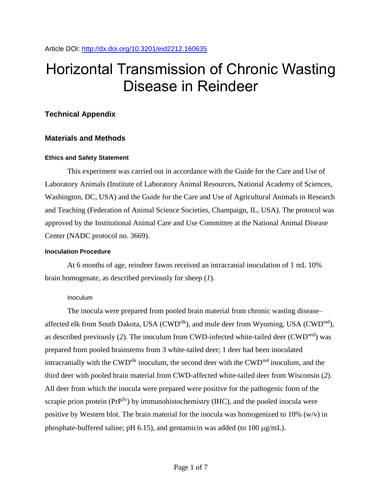# Horizontal Transmission of Chronic Wasting Disease in Reindeer

# **Technical Appendix**

# **Materials and Methods**

# **Ethics and Safety Statement**

This experiment was carried out in accordance with the Guide for the Care and Use of Laboratory Animals (Institute of Laboratory Animal Resources, National Academy of Sciences, Washington, DC, USA) and the Guide for the Care and Use of Agricultural Animals in Research and Teaching (Federation of Animal Science Societies, Champaign, IL, USA). The protocol was approved by the Institutional Animal Care and Use Committee at the National Animal Disease Center (NADC protocol no. 3669).

#### **Inoculation Procedure**

At 6 months of age, reindeer fawns received an intracranial inoculation of 1 mL 10% brain homogenate, as described previously for sheep (*1*).

# Inoculum

The inocula were prepared from pooled brain material from chronic wasting disease– affected elk from South Dakota, USA (CWD<sup>elk</sup>), and mule deer from Wyoming, USA (CWD<sup>md</sup>), as described previously (*2*). The inoculum from CWD-infected white-tailed deer (CWDwtd) was prepared from pooled brainstems from 3 white-tailed deer; 1 deer had been inoculated intracranially with the CWD<sup>elk</sup> inoculum, the second deer with the CWD<sup>md</sup> inoculum, and the third deer with pooled brain material from CWD-affected white-tailed deer from Wisconsin (*2*). All deer from which the inocula were prepared were positive for the pathogenic form of the scrapie prion protein ( $PrP^{Sc}$ ) by immunohistochemistry (IHC), and the pooled inocula were positive by Western blot. The brain material for the inocula was homogenized to 10% (w/v) in phosphate-buffered saline; pH 6.15), and gentamicin was added (to 100  $\mu$ g/mL).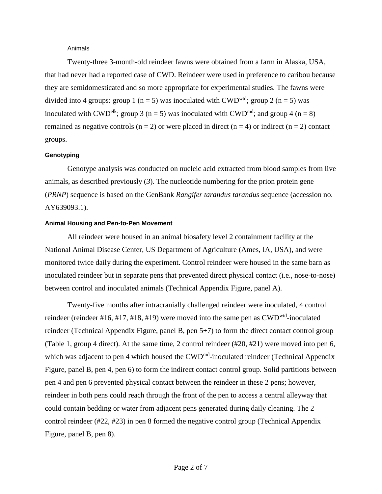#### Animals

Twenty-three 3-month-old reindeer fawns were obtained from a farm in Alaska, USA, that had never had a reported case of CWD. Reindeer were used in preference to caribou because they are semidomesticated and so more appropriate for experimental studies. The fawns were divided into 4 groups: group 1 (n = 5) was inoculated with CWD<sup>wtd</sup>; group 2 (n = 5) was inoculated with CWD<sup>elk</sup>; group 3 (n = 5) was inoculated with CWD<sup>md</sup>; and group 4 (n = 8) remained as negative controls ( $n = 2$ ) or were placed in direct ( $n = 4$ ) or indirect ( $n = 2$ ) contact groups.

#### **Genotyping**

Genotype analysis was conducted on nucleic acid extracted from blood samples from live animals, as described previously (*3*). The nucleotide numbering for the prion protein gene (*PRNP*) sequence is based on the GenBank *Rangifer tarandus tarandus* sequence (accession no. AY639093.1).

#### **Animal Housing and Pen-to-Pen Movement**

All reindeer were housed in an animal biosafety level 2 containment facility at the National Animal Disease Center, US Department of Agriculture (Ames, IA, USA), and were monitored twice daily during the experiment. Control reindeer were housed in the same barn as inoculated reindeer but in separate pens that prevented direct physical contact (i.e., nose-to-nose) between control and inoculated animals (Technical Appendix Figure, panel A).

Twenty-five months after intracranially challenged reindeer were inoculated, 4 control reindeer (reindeer #16, #17, #18, #19) were moved into the same pen as  $\text{CWD}^{\text{wtd}}$ -inoculated reindeer (Technical Appendix Figure, panel B, pen 5+7) to form the direct contact control group (Table 1, group 4 direct). At the same time, 2 control reindeer (#20, #21) were moved into pen 6, which was adjacent to pen 4 which housed the CWD<sup>md</sup>-inoculated reindeer (Technical Appendix Figure, panel B, pen 4, pen 6) to form the indirect contact control group. Solid partitions between pen 4 and pen 6 prevented physical contact between the reindeer in these 2 pens; however, reindeer in both pens could reach through the front of the pen to access a central alleyway that could contain bedding or water from adjacent pens generated during daily cleaning. The 2 control reindeer (#22, #23) in pen 8 formed the negative control group (Technical Appendix Figure, panel B, pen 8).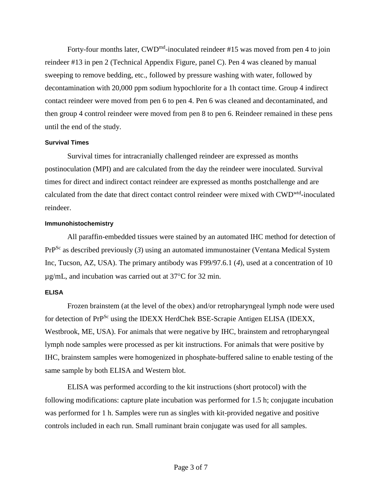Forty-four months later, CWD<sup>md</sup>-inoculated reindeer #15 was moved from pen 4 to join reindeer #13 in pen 2 (Technical Appendix Figure, panel C). Pen 4 was cleaned by manual sweeping to remove bedding, etc., followed by pressure washing with water, followed by decontamination with 20,000 ppm sodium hypochlorite for a 1h contact time. Group 4 indirect contact reindeer were moved from pen 6 to pen 4. Pen 6 was cleaned and decontaminated, and then group 4 control reindeer were moved from pen 8 to pen 6. Reindeer remained in these pens until the end of the study.

## **Survival Times**

Survival times for intracranially challenged reindeer are expressed as months postinoculation (MPI) and are calculated from the day the reindeer were inoculated. Survival times for direct and indirect contact reindeer are expressed as months postchallenge and are calculated from the date that direct contact control reindeer were mixed with CWD<sup>wtd</sup>-inoculated reindeer.

## **Immunohistochemistry**

All paraffin-embedded tissues were stained by an automated IHC method for detection of PrPSc as described previously (*3*) using an automated immunostainer (Ventana Medical System Inc, Tucson, AZ, USA). The primary antibody was F99/97.6.1 (*4*), used at a concentration of 10  $\mu$ g/mL, and incubation was carried out at 37 $\degree$ C for 32 min.

# **ELISA**

Frozen brainstem (at the level of the obex) and/or retropharyngeal lymph node were used for detection of PrP<sup>Sc</sup> using the IDEXX HerdChek BSE-Scrapie Antigen ELISA (IDEXX, Westbrook, ME, USA). For animals that were negative by IHC, brainstem and retropharyngeal lymph node samples were processed as per kit instructions. For animals that were positive by IHC, brainstem samples were homogenized in phosphate-buffered saline to enable testing of the same sample by both ELISA and Western blot.

ELISA was performed according to the kit instructions (short protocol) with the following modifications: capture plate incubation was performed for 1.5 h; conjugate incubation was performed for 1 h. Samples were run as singles with kit-provided negative and positive controls included in each run. Small ruminant brain conjugate was used for all samples.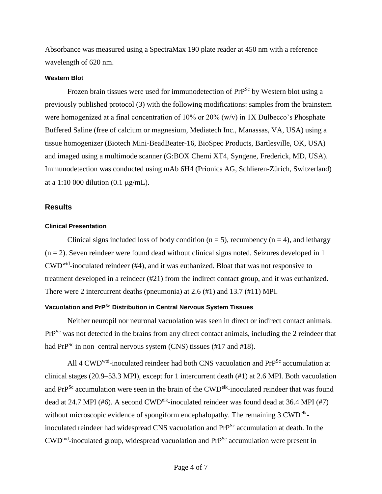Absorbance was measured using a SpectraMax 190 plate reader at 450 nm with a reference wavelength of 620 nm.

#### **Western Blot**

Frozen brain tissues were used for immunodetection of PrP<sup>Sc</sup> by Western blot using a previously published protocol (*3*) with the following modifications: samples from the brainstem were homogenized at a final concentration of 10% or 20% (w/v) in 1X Dulbecco's Phosphate Buffered Saline (free of calcium or magnesium, Mediatech Inc., Manassas, VA, USA) using a tissue homogenizer (Biotech Mini-BeadBeater-16, BioSpec Products, Bartlesville, OK, USA) and imaged using a multimode scanner (G:BOX Chemi XT4, Syngene, Frederick, MD, USA). Immunodetection was conducted using mAb 6H4 (Prionics AG, Schlieren-Zürich, Switzerland) at a 1:10 000 dilution (0.1  $\mu$ g/mL).

### **Results**

#### **Clinical Presentation**

Clinical signs included loss of body condition ( $n = 5$ ), recumbency ( $n = 4$ ), and lethargy  $(n = 2)$ . Seven reindeer were found dead without clinical signs noted. Seizures developed in 1 CWDwtd -inoculated reindeer (#4), and it was euthanized. Bloat that was not responsive to treatment developed in a reindeer (#21) from the indirect contact group, and it was euthanized. There were 2 intercurrent deaths (pneumonia) at 2.6 (#1) and 13.7 (#11) MPI.

## **Vacuolation and PrPSc Distribution in Central Nervous System Tissues**

Neither neuropil nor neuronal vacuolation was seen in direct or indirect contact animals. PrP<sup>Sc</sup> was not detected in the brains from any direct contact animals, including the 2 reindeer that had  $PrP^{Sc}$  in non–central nervous system (CNS) tissues (#17 and #18).

All 4 CWD<sup>wtd</sup>-inoculated reindeer had both CNS vacuolation and PrP<sup>Sc</sup> accumulation at clinical stages (20.9–53.3 MPI), except for 1 intercurrent death (#1) at 2.6 MPI. Both vacuolation and PrP<sup>Sc</sup> accumulation were seen in the brain of the CWD<sup>elk</sup>-inoculated reindeer that was found dead at 24.7 MPI (#6). A second CWD<sup>elk</sup>-inoculated reindeer was found dead at 36.4 MPI (#7) without microscopic evidence of spongiform encephalopathy. The remaining  $3 \text{ CWD}^{\text{elk}}$ inoculated reindeer had widespread CNS vacuolation and PrP<sup>Sc</sup> accumulation at death. In the  $\text{CWD}^{\text{md}}$ -inoculated group, widespread vacuolation and PrP<sup>Sc</sup> accumulation were present in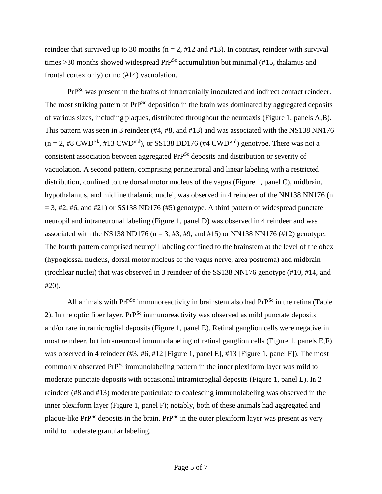reindeer that survived up to 30 months ( $n = 2$ , #12 and #13). In contrast, reindeer with survival times  $>30$  months showed widespread PrP<sup>Sc</sup> accumulation but minimal (#15, thalamus and frontal cortex only) or no (#14) vacuolation.

PrP<sup>Sc</sup> was present in the brains of intracranially inoculated and indirect contact reindeer. The most striking pattern of PrP<sup>Sc</sup> deposition in the brain was dominated by aggregated deposits of various sizes, including plaques, distributed throughout the neuroaxis (Figure 1, panels A,B). This pattern was seen in 3 reindeer (#4, #8, and #13) and was associated with the NS138 NN176  $(n = 2, #8 \text{ CWD}^{\text{elk}}, #13 \text{ CWD}^{\text{md}})$ , or SS138 DD176 (#4 CWD<sup>wtd</sup>) genotype. There was not a consistent association between aggregated PrP<sup>Sc</sup> deposits and distribution or severity of vacuolation. A second pattern, comprising perineuronal and linear labeling with a restricted distribution, confined to the dorsal motor nucleus of the vagus (Figure 1, panel C), midbrain, hypothalamus, and midline thalamic nuclei, was observed in 4 reindeer of the NN138 NN176 (n  $= 3, #2, #6, and #21$  or SS138 ND176 (#5) genotype. A third pattern of widespread punctate neuropil and intraneuronal labeling (Figure 1, panel D) was observed in 4 reindeer and was associated with the NS138 ND176 (n = 3, #3, #9, and #15) or NN138 NN176 (#12) genotype. The fourth pattern comprised neuropil labeling confined to the brainstem at the level of the obex (hypoglossal nucleus, dorsal motor nucleus of the vagus nerve, area postrema) and midbrain (trochlear nuclei) that was observed in 3 reindeer of the SS138 NN176 genotype (#10, #14, and #20).

All animals with  $PrP^{Sc}$  immunoreactivity in brainstem also had  $PrP^{Sc}$  in the retina (Table 2). In the optic fiber layer, PrP<sup>Sc</sup> immunoreactivity was observed as mild punctate deposits and/or rare intramicroglial deposits (Figure 1, panel E). Retinal ganglion cells were negative in most reindeer, but intraneuronal immunolabeling of retinal ganglion cells (Figure 1, panels E,F) was observed in 4 reindeer (#3, #6, #12 [Figure 1, panel E], #13 [Figure 1, panel F]). The most commonly observed PrP<sup>Sc</sup> immunolabeling pattern in the inner plexiform layer was mild to moderate punctate deposits with occasional intramicroglial deposits (Figure 1, panel E). In 2 reindeer (#8 and #13) moderate particulate to coalescing immunolabeling was observed in the inner plexiform layer (Figure 1, panel F); notably, both of these animals had aggregated and plaque-like  $PrP^{Sc}$  deposits in the brain.  $PrP^{Sc}$  in the outer plexiform layer was present as very mild to moderate granular labeling.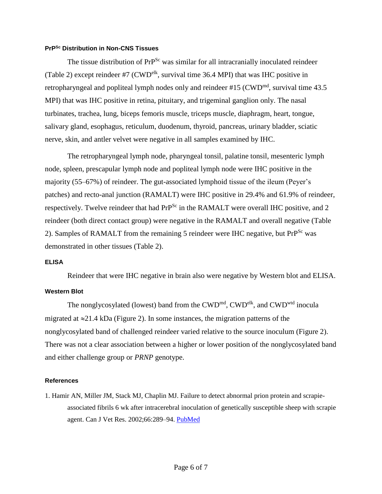#### **PrPSc Distribution in Non-CNS Tissues**

The tissue distribution of PrP<sup>Sc</sup> was similar for all intracranially inoculated reindeer (Table 2) except reindeer #7 (CWD<sup>elk</sup>, survival time 36.4 MPI) that was IHC positive in retropharyngeal and popliteal lymph nodes only and reindeer  $\#15$  (CWD<sup>md</sup>, survival time 43.5) MPI) that was IHC positive in retina, pituitary, and trigeminal ganglion only. The nasal turbinates, trachea, lung, biceps femoris muscle, triceps muscle, diaphragm, heart, tongue, salivary gland, esophagus, reticulum, duodenum, thyroid, pancreas, urinary bladder, sciatic nerve, skin, and antler velvet were negative in all samples examined by IHC.

The retropharyngeal lymph node, pharyngeal tonsil, palatine tonsil, mesenteric lymph node, spleen, prescapular lymph node and popliteal lymph node were IHC positive in the majority (55–67%) of reindeer. The gut-associated lymphoid tissue of the ileum (Peyer's patches) and recto-anal junction (RAMALT) were IHC positive in 29.4% and 61.9% of reindeer, respectively. Twelve reindeer that had PrP<sup>Sc</sup> in the RAMALT were overall IHC positive, and 2 reindeer (both direct contact group) were negative in the RAMALT and overall negative (Table 2). Samples of RAMALT from the remaining 5 reindeer were IHC negative, but PrP<sup>Sc</sup> was demonstrated in other tissues (Table 2).

#### **ELISA**

Reindeer that were IHC negative in brain also were negative by Western blot and ELISA.

#### **Western Blot**

The nonglycosylated (lowest) band from the CWD<sup>md</sup>, CWD<sup>elk</sup>, and CWD<sup>wtd</sup> inocula migrated at  $\approx$ 21.4 kDa (Figure 2). In some instances, the migration patterns of the nonglycosylated band of challenged reindeer varied relative to the source inoculum (Figure 2). There was not a clear association between a higher or lower position of the nonglycosylated band and either challenge group or *PRNP* genotype.

#### **References**

1. Hamir AN, Miller JM, Stack MJ, Chaplin MJ. Failure to detect abnormal prion protein and scrapieassociated fibrils 6 wk after intracerebral inoculation of genetically susceptible sheep with scrapie agent. Can J Vet Res. 2002;66:289–94. [PubMed](http://www.ncbi.nlm.nih.gov/entrez/query.fcgi?cmd=Retrieve&db=PubMed&list_uids=12418787&dopt=Abstract)